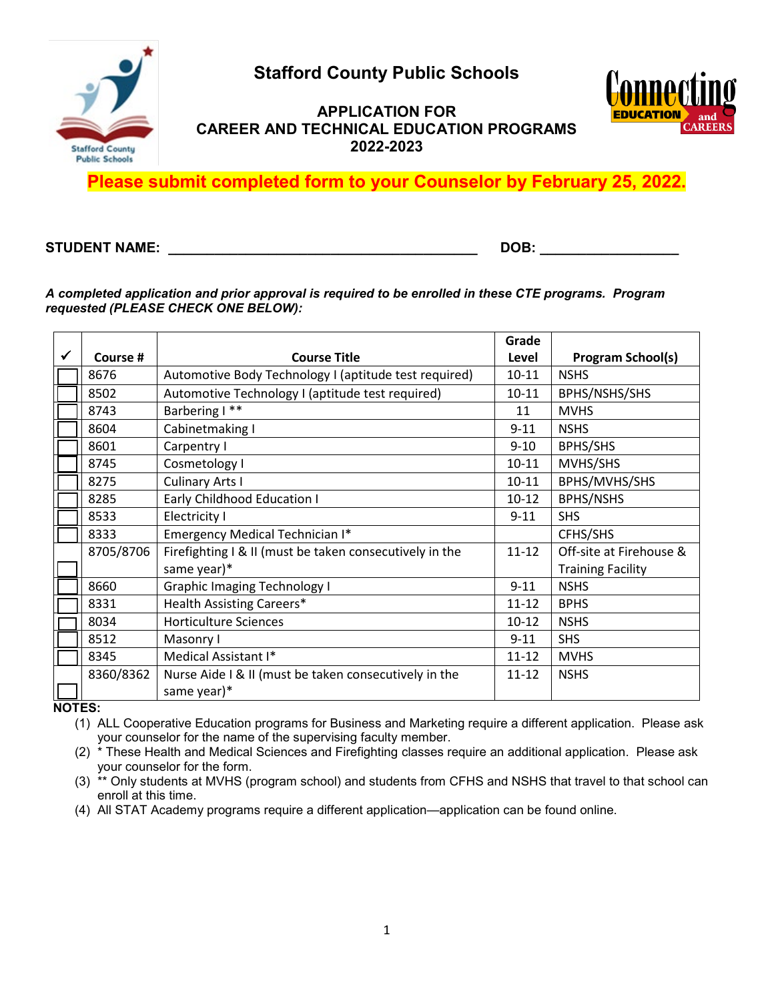**Stafford County Public Schools**



## **APPLICATION FOR CAREER AND TECHNICAL EDUCATION PROGRAMS 2022-2023**



**Please submit completed form to your Counselor by February 25, 2022.** 

#### **STUDENT NAME: \_\_\_\_\_\_\_\_\_\_\_\_\_\_\_\_\_\_\_\_\_\_\_\_\_\_\_\_\_\_\_\_\_\_\_\_\_\_\_\_ DOB: \_\_\_\_\_\_\_\_\_\_\_\_\_\_\_\_\_\_**

#### *A completed application and prior approval is required to be enrolled in these CTE programs. Program requested (PLEASE CHECK ONE BELOW):*

|              |           |                                                         | Grade     |                          |
|--------------|-----------|---------------------------------------------------------|-----------|--------------------------|
| $\checkmark$ | Course #  | <b>Course Title</b>                                     | Level     | <b>Program School(s)</b> |
|              | 8676      | Automotive Body Technology I (aptitude test required)   | $10 - 11$ | <b>NSHS</b>              |
|              | 8502      | Automotive Technology I (aptitude test required)        | $10 - 11$ | BPHS/NSHS/SHS            |
|              | 8743      | Barbering I**                                           | 11        | <b>MVHS</b>              |
|              | 8604      | Cabinetmaking I                                         | $9 - 11$  | <b>NSHS</b>              |
|              | 8601      | Carpentry I                                             | $9 - 10$  | BPHS/SHS                 |
|              | 8745      | Cosmetology I                                           | $10 - 11$ | MVHS/SHS                 |
|              | 8275      | <b>Culinary Arts I</b>                                  | $10 - 11$ | BPHS/MVHS/SHS            |
|              | 8285      | <b>Early Childhood Education I</b>                      | $10 - 12$ | <b>BPHS/NSHS</b>         |
|              | 8533      | Electricity I                                           | $9 - 11$  | <b>SHS</b>               |
|              | 8333      | Emergency Medical Technician I*                         |           | CFHS/SHS                 |
|              | 8705/8706 | Firefighting I & II (must be taken consecutively in the | $11 - 12$ | Off-site at Firehouse &  |
|              |           | same year)*                                             |           | <b>Training Facility</b> |
|              | 8660      | <b>Graphic Imaging Technology I</b>                     | $9 - 11$  | <b>NSHS</b>              |
|              | 8331      | Health Assisting Careers*                               | $11 - 12$ | <b>BPHS</b>              |
|              | 8034      | <b>Horticulture Sciences</b>                            | $10-12$   | <b>NSHS</b>              |
|              | 8512      | Masonry I                                               | $9 - 11$  | <b>SHS</b>               |
|              | 8345      | Medical Assistant I*                                    | $11 - 12$ | <b>MVHS</b>              |
|              | 8360/8362 | Nurse Aide I & II (must be taken consecutively in the   | $11 - 12$ | <b>NSHS</b>              |
|              |           | same year)*                                             |           |                          |

**NOTES:**

(1) ALL Cooperative Education programs for Business and Marketing require a different application. Please ask your counselor for the name of the supervising faculty member.

(2) \* These Health and Medical Sciences and Firefighting classes require an additional application. Please ask your counselor for the form.

(3)  $*$  Only students at MVHS (program school) and students from CFHS and NSHS that travel to that school can enroll at this time.

(4) All STAT Academy programs require a different application—application can be found online.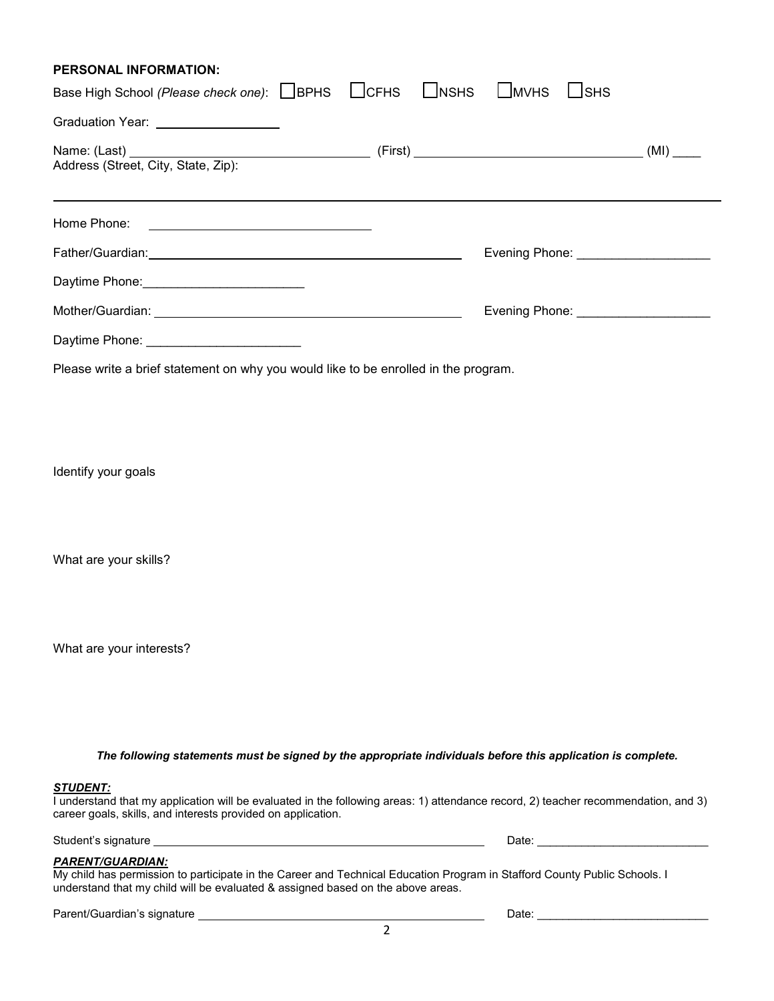| <b>PERSONAL INFORMATION:</b>                                                                                                                                                                                                         |  |              |                                      |
|--------------------------------------------------------------------------------------------------------------------------------------------------------------------------------------------------------------------------------------|--|--------------|--------------------------------------|
| Base High School (Please check one): BPHS LICFHS LINSHS LIMVHS                                                                                                                                                                       |  | $\sqcup$ SHS |                                      |
| Graduation Year: <u>contract and the set of the set of the set of the set of the set of the set of the set of the set of the set of the set of the set of the set of the set of the set of the set of the set of the set of the </u> |  |              |                                      |
|                                                                                                                                                                                                                                      |  |              |                                      |
|                                                                                                                                                                                                                                      |  |              |                                      |
| Home Phone: <u>________________________________</u>                                                                                                                                                                                  |  |              |                                      |
|                                                                                                                                                                                                                                      |  |              | Evening Phone: _____________________ |
| Daytime Phone: ______________________________                                                                                                                                                                                        |  |              |                                      |
|                                                                                                                                                                                                                                      |  |              |                                      |
| Daytime Phone: _________________________                                                                                                                                                                                             |  |              |                                      |

Please write a brief statement on why you would like to be enrolled in the program.

Identify your goals

What are your skills?

What are your interests?

*The following statements must be signed by the appropriate individuals before this application is complete.*

#### *STUDENT:*

I understand that my application will be evaluated in the following areas: 1) attendance record, 2) teacher recommendation, and 3) career goals, skills, and interests provided on application.

Student's signature Date: \_\_\_\_\_\_\_\_\_\_\_\_\_\_\_\_\_\_\_\_\_\_\_\_\_\_\_

# *PARENT/GUARDIAN:*

My child has permission to participate in the Career and Technical Education Program in Stafford County Public Schools. I understand that my child will be evaluated & assigned based on the above areas.

| Parent/Guardian's signature |
|-----------------------------|
|-----------------------------|

Date:  $\frac{1}{\sqrt{2\pi}}$